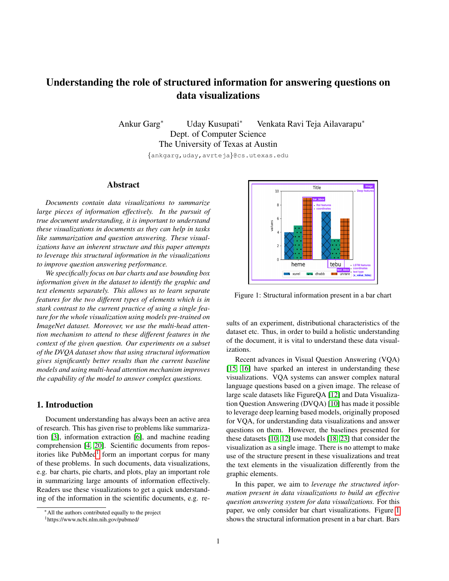# Understanding the role of structured information for answering questions on data visualizations

Ankur Garg<sup>∗</sup> Uday Kusupati<sup>∗</sup> Venkata Ravi Teja Ailavarapu<sup>∗</sup> Dept. of Computer Science The University of Texas at Austin

{ankgarg,uday,avrteja}@cs.utexas.edu

## Abstract

*Documents contain data visualizations to summarize large pieces of information effectively. In the pursuit of true document understanding, it is important to understand these visualizations in documents as they can help in tasks like summarization and question answering. These visualizations have an inherent structure and this paper attempts to leverage this structural information in the visualizations to improve question answering performance.*

*We specifically focus on bar charts and use bounding box information given in the dataset to identify the graphic and text elements separately. This allows us to learn separate features for the two different types of elements which is in stark contrast to the current practice of using a single feature for the whole visualization using models pre-trained on ImageNet dataset. Moreover, we use the multi-head attention mechanism to attend to these different features in the context of the given question. Our experiments on a subset of the DVQA dataset show that using structural information gives significantly better results than the current baseline models and using multi-head attention mechanism improves the capability of the model to answer complex questions.*

# <span id="page-0-2"></span>1. Introduction

Document understanding has always been an active area of research. This has given rise to problems like summarization [\[3\]](#page-5-0), information extraction [\[6\]](#page-5-1), and machine reading comprehension [\[4,](#page-5-2) [20\]](#page-6-0). Scientific documents from repos-itories like PubMed<sup>[1](#page-0-0)</sup> form an important corpus for many of these problems. In such documents, data visualizations, e.g. bar charts, pie charts, and plots, play an important role in summarizing large amounts of information effectively. Readers use these visualizations to get a quick understanding of the information in the scientific documents, e.g. re-

<span id="page-0-1"></span>

Figure 1: Structural information present in a bar chart

sults of an experiment, distributional characteristics of the dataset etc. Thus, in order to build a holistic understanding of the document, it is vital to understand these data visualizations.

Recent advances in Visual Question Answering (VQA) [\[15,](#page-6-1) [16\]](#page-6-2) have sparked an interest in understanding these visualizations. VQA systems can answer complex natural language questions based on a given image. The release of large scale datasets like FigureQA [\[12\]](#page-6-3) and Data Visualization Question Answering (DVQA) [\[10\]](#page-6-4) has made it possible to leverage deep learning based models, originally proposed for VQA, for understanding data visualizations and answer questions on them. However, the baselines presented for these datasets [\[10,](#page-6-4) [12\]](#page-6-3) use models [\[18,](#page-6-5) [23\]](#page-6-6) that consider the visualization as a single image. There is no attempt to make use of the structure present in these visualizations and treat the text elements in the visualization differently from the graphic elements.

In this paper, we aim to *leverage the structured information present in data visualizations to build an effective question answering system for data visualizations.* For this paper, we only consider bar chart visualizations. Figure [1](#page-0-1) shows the structural information present in a bar chart. Bars

<sup>∗</sup>All the authors contributed equally to the project

<span id="page-0-0"></span><sup>1</sup>https://www.ncbi.nlm.nih.gov/pubmed/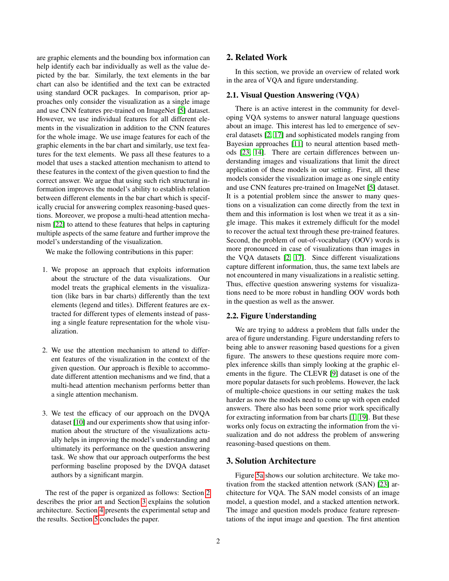are graphic elements and the bounding box information can help identify each bar individually as well as the value depicted by the bar. Similarly, the text elements in the bar chart can also be identified and the text can be extracted using standard OCR packages. In comparison, prior approaches only consider the visualization as a single image and use CNN features pre-trained on ImageNet [\[5\]](#page-5-3) dataset. However, we use individual features for all different elements in the visualization in addition to the CNN features for the whole image. We use image features for each of the graphic elements in the bar chart and similarly, use text features for the text elements. We pass all these features to a model that uses a stacked attention mechanism to attend to these features in the context of the given question to find the correct answer. We argue that using such rich structural information improves the model's ability to establish relation between different elements in the bar chart which is specifically crucial for answering complex reasoning-based questions. Moreover, we propose a multi-head attention mechanism [\[22\]](#page-6-7) to attend to these features that helps in capturing multiple aspects of the same feature and further improve the model's understanding of the visualization.

We make the following contributions in this paper:

- 1. We propose an approach that exploits information about the structure of the data visualizations. Our model treats the graphical elements in the visualization (like bars in bar charts) differently than the text elements (legend and titles). Different features are extracted for different types of elements instead of passing a single feature representation for the whole visualization.
- 2. We use the attention mechanism to attend to different features of the visualization in the context of the given question. Our approach is flexible to accommodate different attention mechanisms and we find, that a multi-head attention mechanism performs better than a single attention mechanism.
- 3. We test the efficacy of our approach on the DVQA dataset [\[10\]](#page-6-4) and our experiments show that using information about the structure of the visualizations actually helps in improving the model's understanding and ultimately its performance on the question answering task. We show that our approach outperforms the best performing baseline proposed by the DVQA dataset authors by a significant margin.

The rest of the paper is organized as follows: Section [2](#page-1-0) describes the prior art and Section [3](#page-1-1) explains the solution architecture. Section [4](#page-4-0) presents the experimental setup and the results. Section [5](#page-5-4) concludes the paper.

# <span id="page-1-0"></span>2. Related Work

In this section, we provide an overview of related work in the area of VQA and figure understanding.

### 2.1. Visual Question Answering (VQA)

There is an active interest in the community for developing VQA systems to answer natural language questions about an image. This interest has led to emergence of several datasets [\[2,](#page-5-5) [17\]](#page-6-8) and sophisticated models ranging from Bayesian approaches [\[11\]](#page-6-9) to neural attention based methods [\[23,](#page-6-6) [14\]](#page-6-10). There are certain differences between understanding images and visualizations that limit the direct application of these models in our setting. First, all these models consider the visualization image as one single entity and use CNN features pre-trained on ImageNet [\[5\]](#page-5-3) dataset. It is a potential problem since the answer to many questions on a visualization can come directly from the text in them and this information is lost when we treat it as a single image. This makes it extremely difficult for the model to recover the actual text through these pre-trained features. Second, the problem of out-of-vocabulary (OOV) words is more pronounced in case of visualizations than images in the VQA datasets [\[2,](#page-5-5) [17\]](#page-6-8). Since different visualizations capture different information, thus, the same text labels are not encountered in many visualizations in a realistic setting. Thus, effective question answering systems for visualizations need to be more robust in handling OOV words both in the question as well as the answer.

### 2.2. Figure Understanding

We are trying to address a problem that falls under the area of figure understanding. Figure understanding refers to being able to answer reasoning based questions for a given figure. The answers to these questions require more complex inference skills than simply looking at the graphic elements in the figure. The CLEVR [\[9\]](#page-6-11) dataset is one of the more popular datasets for such problems. However, the lack of multiple-choice questions in our setting makes the task harder as now the models need to come up with open ended answers. There also has been some prior work specifically for extracting information from bar charts [\[1,](#page-5-6) [19\]](#page-6-12). But these works only focus on extracting the information from the visualization and do not address the problem of answering reasoning-based questions on them.

# <span id="page-1-1"></span>3. Solution Architecture

Figure [5a](#page-7-0) shows our solution architecture. We take motivation from the stacked attention network (SAN) [\[23\]](#page-6-6) architecture for VQA. The SAN model consists of an image model, a question model, and a stacked attention network. The image and question models produce feature representations of the input image and question. The first attention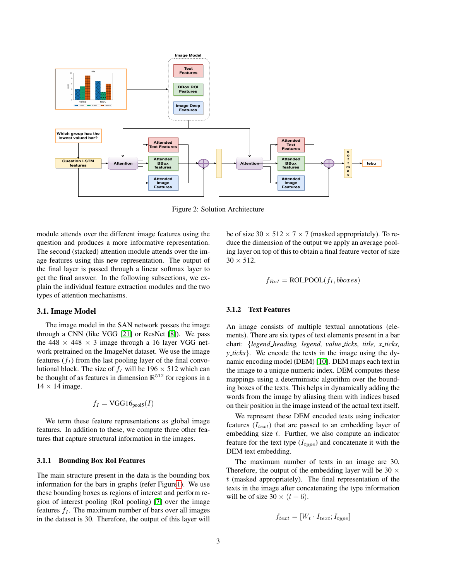

Figure 2: Solution Architecture

module attends over the different image features using the question and produces a more informative representation. The second (stacked) attention module attends over the image features using this new representation. The output of the final layer is passed through a linear softmax layer to get the final answer. In the following subsections, we explain the individual feature extraction modules and the two types of attention mechanisms.

#### <span id="page-2-2"></span>3.1. Image Model

The image model in the SAN network passes the image through a CNN (like VGG [\[21\]](#page-6-13) or ResNet [\[8\]](#page-5-7)). We pass the 448  $\times$  448  $\times$  3 image through a 16 layer VGG network pretrained on the ImageNet dataset. We use the image features  $(f_I)$  from the last pooling layer of the final convolutional block. The size of  $f_I$  will be 196  $\times$  512 which can be thought of as features in dimension  $\mathbb{R}^{512}$  for regions in a  $14 \times 14$  image.

$$
f_I = \text{VGG16}_{\text{pool5}}(I)
$$

We term these feature representations as global image features. In addition to these, we compute three other features that capture structural information in the images.

#### <span id="page-2-0"></span>3.1.1 Bounding Box RoI Features

The main structure present in the data is the bounding box information for the bars in graphs (refer Figur[e1\)](#page-0-1). We use these bounding boxes as regions of interest and perform region of interest pooling (RoI pooling) [\[7\]](#page-5-8) over the image features  $f_I$ . The maximum number of bars over all images in the dataset is 30. Therefore, the output of this layer will

be of size  $30 \times 512 \times 7 \times 7$  (masked appropriately). To reduce the dimension of the output we apply an average pooling layer on top of this to obtain a final feature vector of size  $30 \times 512$ .

$$
f_{RoI} = \text{ROI\_POOL}(f_I, \text{bboxes})
$$

#### <span id="page-2-1"></span>3.1.2 Text Features

An image consists of multiple textual annotations (elements). There are six types of text elements present in a bar chart: {*legend heading, legend, value ticks, title, x ticks, y ticks*}. We encode the texts in the image using the dynamic encoding model (DEM) [\[10\]](#page-6-4). DEM maps each text in the image to a unique numeric index. DEM computes these mappings using a deterministic algorithm over the bounding boxes of the texts. This helps in dynamically adding the words from the image by aliasing them with indices based on their position in the image instead of the actual text itself.

We represent these DEM encoded texts using indicator features  $(I_{text})$  that are passed to an embedding layer of embedding size  $t$ . Further, we also compute an indicator feature for the text type  $(I_{type})$  and concatenate it with the DEM text embedding.

The maximum number of texts in an image are 30. Therefore, the output of the embedding layer will be 30  $\times$  $t$  (masked appropriately). The final representation of the texts in the image after concatenating the type information will be of size  $30 \times (t + 6)$ .

$$
f_{text} = [W_t \cdot I_{text}; I_{type}]
$$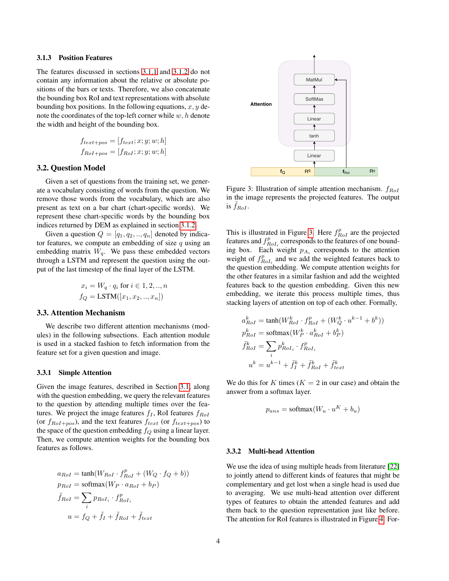#### 3.1.3 Position Features

The features discussed in sections [3.1.1](#page-2-0) and [3.1.2](#page-2-1) do not contain any information about the relative or absolute positions of the bars or texts. Therefore, we also concatenate the bounding box RoI and text representations with absolute bounding box positions. In the following equations,  $x, y$  denote the coordinates of the top-left corner while  $w, h$  denote the width and height of the bounding box.

$$
f_{text+pos} = [f_{text}; x; y; w; h]
$$

$$
f_{RoI+pos} = [f_{RoI}; x; y; w; h]
$$

#### 3.2. Question Model

Given a set of questions from the training set, we generate a vocabulary consisting of words from the question. We remove those words from the vocabulary, which are also present as text on a bar chart (chart-specific words). We represent these chart-specific words by the bounding box indices returned by DEM as explained in section [3.1.2.](#page-2-1)

Given a question  $Q = [q_1, q_2, \ldots, q_n]$  denoted by indicator features, we compute an embedding of size  $q$  using an embedding matrix  $W_q$ . We pass these embedded vectors through a LSTM and represent the question using the output of the last timestep of the final layer of the LSTM.

$$
x_i = W_q \cdot q_i \text{ for } i \in 1, 2, ..., n
$$

$$
f_Q = \text{LSTM}([x_1, x_2, ..., x_n])
$$

#### <span id="page-3-1"></span>3.3. Attention Mechanism

We describe two different attention mechanisms (modules) in the following subsections. Each attention module is used in a stacked fashion to fetch information from the feature set for a given question and image.

#### 3.3.1 Simple Attention

Given the image features, described in Section [3.1,](#page-2-2) along with the question embedding, we query the relevant features to the question by attending multiple times over the features. We project the image features  $f_I$ , RoI features  $f_{RoI}$ (or  $f_{RoI+pos}$ ), and the text features  $f_{text}$  (or  $f_{text+pre}$ ) to the space of the question embedding  $f_Q$  using a linear layer. Then, we compute attention weights for the bounding box features as follows.

$$
a_{RoI} = \tanh(W_{RoI} \cdot f_{RoI}^p + (W_Q \cdot f_Q + b))
$$
  
\n
$$
p_{RoI} = \text{softmax}(W_P \cdot a_{RoI} + b_P)
$$
  
\n
$$
\tilde{f}_{RoI} = \sum_i p_{RoI_i} \cdot f_{RoI_i}^p
$$
  
\n
$$
u = f_Q + \tilde{f}_I + \tilde{f}_{RoI} + \tilde{f}_{text}
$$

<span id="page-3-0"></span>

Figure 3: Illustration of simple attention mechanism.  $f_{RoI}$ in the image represents the projected features. The output is  $\tilde{f}_{RoI}$ .

This is illustrated in Figure [3.](#page-3-0) Here  $f_{RoI}^p$  are the projected features and  $f_{RoI_i}^p$  corresponds to the features of one bounding box. Each weight  $p_{A_i}$  corresponds to the attention weight of  $f_{RoI_i}^p$  and we add the weighted features back to the question embedding. We compute attention weights for the other features in a similar fashion and add the weighted features back to the question embedding. Given this new embedding, we iterate this process multiple times, thus stacking layers of attention on top of each other. Formally,

$$
a_{RoI}^k = \tanh(W_{RoI}^k \cdot f_{RoI}^p + (W_Q^k \cdot u^{k-1} + b^k))
$$
  
\n
$$
p_{RoI}^k = \tsoftmax(W_P^k \cdot a_{RoI}^k + b_P^k)
$$
  
\n
$$
\tilde{f}_{RoI}^k = \sum_i p_{RoI_i}^k \cdot f_{RoI_i}^p
$$
  
\n
$$
u^k = u^{k-1} + \tilde{f}_I^k + \tilde{f}_{RoI}^k + \tilde{f}_{text}^k
$$

We do this for K times ( $K = 2$  in our case) and obtain the answer from a softmax layer.

$$
p_{ans} = \text{softmax}(W_u \cdot u^K + b_u)
$$

#### 3.3.2 Multi-head Attention

We use the idea of using multiple heads from literature [\[22\]](#page-6-7) to jointly attend to different kinds of features that might be complementary and get lost when a single head is used due to averaging. We use multi-head attention over different types of features to obtain the attended features and add them back to the question representation just like before. The attention for RoI features is illustrated in Figure [4.](#page-4-1) For-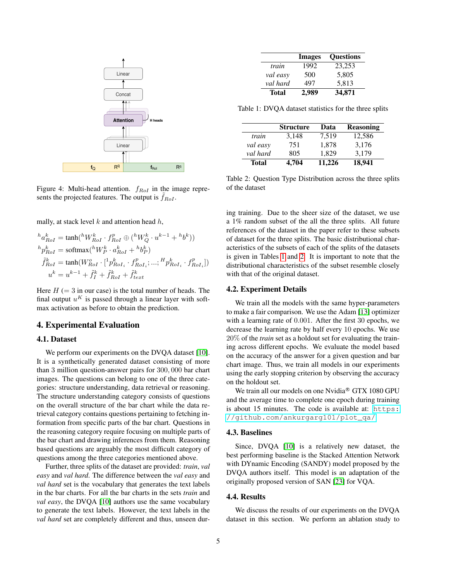<span id="page-4-1"></span>

Figure 4: Multi-head attention.  $f_{RoI}$  in the image represents the projected features. The output is  $f_{RoI}$ .

mally, at stack level  $k$  and attention head  $h$ ,

$$
{}^{h}a_{RoI}^k = \tanh({}^hW_{RoI}^k \cdot f_{RoI}^p \oplus ({}^hW_Q^k \cdot u^{k-1} + {}^h b^k))
$$
  
\n
$$
{}^{h}p_{RoI}^k = \tsoftmax({}^hW_P^k \cdot a_{RoI}^k + {}^h b_P^k)
$$
  
\n
$$
\tilde{f}_{RoI}^k = \tanh(W_{RoI}^o \cdot [{}^1p_{RoI_i}^k \cdot f_{RoI_i}^p; ...; {}^H p_{RoI_i}^k \cdot f_{RoI_i}^p])
$$
  
\n
$$
u^k = u^{k-1} + \tilde{f}_I^k + \tilde{f}_{RoI}^k + \tilde{f}_{text}^k
$$

Here  $H (= 3$  in our case) is the total number of heads. The final output  $u^K$  is passed through a linear layer with softmax activation as before to obtain the prediction.

#### <span id="page-4-0"></span>4. Experimental Evaluation

## 4.1. Dataset

We perform our experiments on the DVQA dataset [\[10\]](#page-6-4). It is a synthetically generated dataset consisting of more than 3 million question-answer pairs for 300, 000 bar chart images. The questions can belong to one of the three categories: structure understanding, data retrieval or reasoning. The structure understanding category consists of questions on the overall structure of the bar chart while the data retrieval category contains questions pertaining to fetching information from specific parts of the bar chart. Questions in the reasoning category require focusing on multiple parts of the bar chart and drawing inferences from them. Reasoning based questions are arguably the most difficult category of questions among the three categories mentioned above.

Further, three splits of the dataset are provided: *train*, *val easy* and *val hard*. The difference between the *val easy* and *val hard* set is the vocabulary that generates the text labels in the bar charts. For all the bar charts in the sets *train* and *val easy*, the DVQA [\[10\]](#page-6-4) authors use the same vocabulary to generate the text labels. However, the text labels in the *val hard* set are completely different and thus, unseen dur-

<span id="page-4-2"></span>

|              | <b>Images</b> | <b>Questions</b> |
|--------------|---------------|------------------|
| train        | 1992          | 23,253           |
| val easy     | 500           | 5.805            |
| val hard     | 497           | 5,813            |
| <b>Total</b> | 2,989         | 34,871           |

Table 1: DVQA dataset statistics for the three splits

<span id="page-4-3"></span>

|              | <b>Structure</b> | Data   | <b>Reasoning</b> |
|--------------|------------------|--------|------------------|
| train        | 3.148            | 7.519  | 12.586           |
| val easy     | 751              | 1.878  | 3,176            |
| val hard     | 805              | 1.829  | 3.179            |
| <b>Total</b> | 4,704            | 11.226 | 18,941           |

Table 2: Question Type Distribution across the three splits of the dataset

ing training. Due to the sheer size of the dataset, we use a 1% random subset of the all the three splits. All future references of the dataset in the paper refer to these subsets of dataset for the three splits. The basic distributional characteristics of the subsets of each of the splits of the datasets is given in Tables [1](#page-4-2) and [2.](#page-4-3) It is important to note that the distributional characteristics of the subset resemble closely with that of the original dataset.

#### 4.2. Experiment Details

We train all the models with the same hyper-parameters to make a fair comparison. We use the Adam [\[13\]](#page-6-14) optimizer with a learning rate of 0.001. After the first 30 epochs, we decrease the learning rate by half every 10 epochs. We use 20% of the *train* set as a holdout set for evaluating the training across different epochs. We evaluate the model based on the accuracy of the answer for a given question and bar chart image. Thus, we train all models in our experiments using the early stopping criterion by observing the accuracy on the holdout set.

We train all our models on one Nvidia® GTX 1080 GPU and the average time to complete one epoch during training is about 15 minutes. The code is available at: [https:](https://github.com/ankurgarg101/plot_qa/) [//github.com/ankurgarg101/plot\\_qa/](https://github.com/ankurgarg101/plot_qa/).

### 4.3. Baselines

Since, DVQA [\[10\]](#page-6-4) is a relatively new dataset, the best performing baseline is the Stacked Attention Network with DYnamic Encoding (SANDY) model proposed by the DVQA authors itself. This model is an adaptation of the originally proposed version of SAN [\[23\]](#page-6-6) for VQA.

#### 4.4. Results

We discuss the results of our experiments on the DVQA dataset in this section. We perform an ablation study to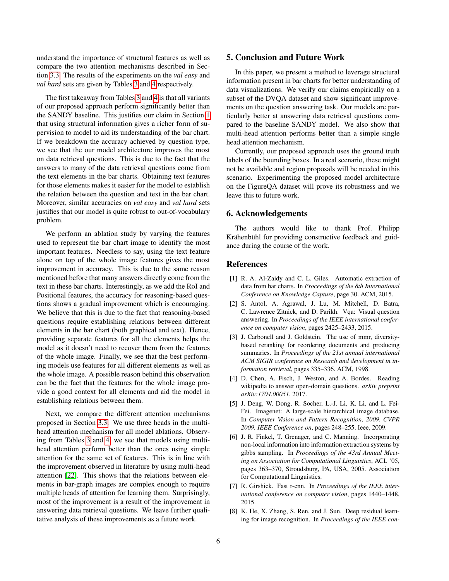understand the importance of structural features as well as compare the two attention mechanisms described in Section [3.3.](#page-3-1) The results of the experiments on the *val easy* and *val hard* sets are given by Tables [3](#page-6-15) and [4](#page-6-16) respectively.

The first takeaway from Tables [3](#page-6-15) and [4](#page-6-16) is that all variants of our proposed approach perform significantly better than the SANDY baseline. This justifies our claim in Section [1](#page-0-2) that using structural information gives a richer form of supervision to model to aid its understanding of the bar chart. If we breakdown the accuracy achieved by question type, we see that the our model architecture improves the most on data retrieval questions. This is due to the fact that the answers to many of the data retrieval questions come from the text elements in the bar charts. Obtaining text features for those elements makes it easier for the model to establish the relation between the question and text in the bar chart. Moreover, similar accuracies on *val easy* and *val hard* sets justifies that our model is quite robust to out-of-vocabulary problem.

We perform an ablation study by varying the features used to represent the bar chart image to identify the most important features. Needless to say, using the text feature alone on top of the whole image features gives the most improvement in accuracy. This is due to the same reason mentioned before that many answers directly come from the text in these bar charts. Interestingly, as we add the RoI and Positional features, the accuracy for reasoning-based questions shows a gradual improvement which is encouraging. We believe that this is due to the fact that reasoning-based questions require establishing relations between different elements in the bar chart (both graphical and text). Hence, providing separate features for all the elements helps the model as it doesn't need to recover them from the features of the whole image. Finally, we see that the best performing models use features for all different elements as well as the whole image. A possible reason behind this observation can be the fact that the features for the whole image provide a good context for all elements and aid the model in establishing relations between them.

Next, we compare the different attention mechanisms proposed in Section [3.3.](#page-3-1) We use three heads in the multihead attention mechanism for all model ablations. Observing from Tables [3](#page-6-15) and [4,](#page-6-16) we see that models using multihead attention perform better than the ones using simple attention for the same set of features. This is in line with the improvement observed in literature by using multi-head attention [\[22\]](#page-6-7). This shows that the relations between elements in bar-graph images are complex enough to require multiple heads of attention for learning them. Surprisingly, most of the improvement is a result of the improvement in answering data retrieval questions. We leave further qualitative analysis of these improvements as a future work.

# <span id="page-5-4"></span>5. Conclusion and Future Work

In this paper, we present a method to leverage structural information present in bar charts for better understanding of data visualizations. We verify our claims empirically on a subset of the DVQA dataset and show significant improvements on the question answering task. Our models are particularly better at answering data retrieval questions compared to the baseline SANDY model. We also show that multi-head attention performs better than a simple single head attention mechanism.

Currently, our proposed approach uses the ground truth labels of the bounding boxes. In a real scenario, these might not be available and region proposals will be needed in this scenario. Experimenting the proposed model architecture on the FigureQA dataset will prove its robustness and we leave this to future work.

# 6. Acknowledgements

The authors would like to thank Prof. Philipp Krähenbühl for providing constructive feedback and guidance during the course of the work.

### References

- <span id="page-5-6"></span>[1] R. A. Al-Zaidy and C. L. Giles. Automatic extraction of data from bar charts. In *Proceedings of the 8th International Conference on Knowledge Capture*, page 30. ACM, 2015.
- <span id="page-5-5"></span>[2] S. Antol, A. Agrawal, J. Lu, M. Mitchell, D. Batra, C. Lawrence Zitnick, and D. Parikh. Vqa: Visual question answering. In *Proceedings of the IEEE international conference on computer vision*, pages 2425–2433, 2015.
- <span id="page-5-0"></span>[3] J. Carbonell and J. Goldstein. The use of mmr, diversitybased reranking for reordering documents and producing summaries. In *Proceedings of the 21st annual international ACM SIGIR conference on Research and development in information retrieval*, pages 335–336. ACM, 1998.
- <span id="page-5-2"></span>[4] D. Chen, A. Fisch, J. Weston, and A. Bordes. Reading wikipedia to answer open-domain questions. *arXiv preprint arXiv:1704.00051*, 2017.
- <span id="page-5-3"></span>[5] J. Deng, W. Dong, R. Socher, L.-J. Li, K. Li, and L. Fei-Fei. Imagenet: A large-scale hierarchical image database. In *Computer Vision and Pattern Recognition, 2009. CVPR 2009. IEEE Conference on*, pages 248–255. Ieee, 2009.
- <span id="page-5-1"></span>[6] J. R. Finkel, T. Grenager, and C. Manning. Incorporating non-local information into information extraction systems by gibbs sampling. In *Proceedings of the 43rd Annual Meeting on Association for Computational Linguistics*, ACL '05, pages 363–370, Stroudsburg, PA, USA, 2005. Association for Computational Linguistics.
- <span id="page-5-8"></span>[7] R. Girshick. Fast r-cnn. In *Proceedings of the IEEE international conference on computer vision*, pages 1440–1448, 2015.
- <span id="page-5-7"></span>[8] K. He, X. Zhang, S. Ren, and J. Sun. Deep residual learning for image recognition. In *Proceedings of the IEEE con-*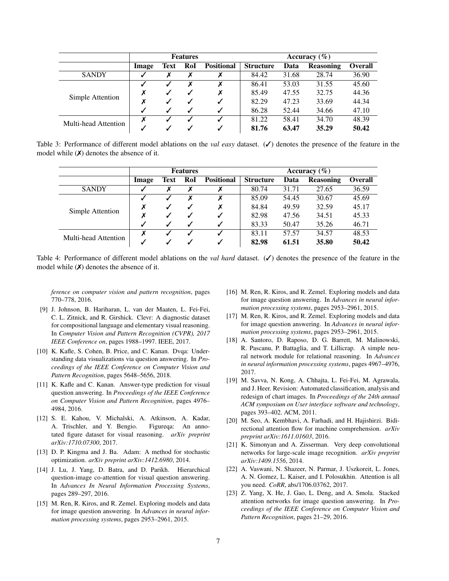<span id="page-6-15"></span>

|                      | <b>Features</b> |      |     | Accuracy $(\% )$  |                  |       |                  |                |
|----------------------|-----------------|------|-----|-------------------|------------------|-------|------------------|----------------|
|                      | Image           | Text | RoI | <b>Positional</b> | <b>Structure</b> | Data  | <b>Reasoning</b> | <b>Overall</b> |
| <b>SANDY</b>         |                 |      |     |                   | 84.42            | 31.68 | 28.74            | 36.90          |
| Simple Attention     |                 |      |     | X                 | 86.41            | 53.03 | 31.55            | 45.60          |
|                      |                 |      |     |                   | 85.49            | 47.55 | 32.75            | 44.36          |
|                      |                 |      |     |                   | 82.29            | 47.23 | 33.69            | 44.34          |
|                      |                 |      |     |                   | 86.28            | 52.44 | 34.66            | 47.10          |
| Multi-head Attention |                 |      |     |                   | 81.22            | 58.41 | 34.70            | 48.39          |
|                      |                 |      |     |                   | 81.76            | 63.47 | 35.29            | 50.42          |

<span id="page-6-16"></span>Table 3: Performance of different model ablations on the *val easy* dataset. (✓) denotes the presence of the feature in the model while  $(X)$  denotes the absence of it.

|                      | <b>Features</b> |      |     | Accuracy $(\% )$  |                  |       |                  |                |
|----------------------|-----------------|------|-----|-------------------|------------------|-------|------------------|----------------|
|                      | Image           | Text | RoI | <b>Positional</b> | <b>Structure</b> | Data  | <b>Reasoning</b> | <b>Overall</b> |
| <b>SANDY</b>         |                 |      |     | Х                 | 80.74            | 31.71 | 27.65            | 36.59          |
| Simple Attention     |                 |      |     | Х                 | 85.09            | 54.45 | 30.67            | 45.69          |
|                      |                 |      | ✔   | X                 | 84.84            | 49.59 | 32.59            | 45.17          |
|                      |                 |      |     | ✓                 | 82.98            | 47.56 | 34.51            | 45.33          |
|                      |                 |      | ✓   | $\checkmark$      | 83.33            | 50.47 | 35.26            | 46.71          |
| Multi-head Attention |                 |      |     |                   | 83.11            | 57.57 | 34.57            | 48.53          |
|                      |                 |      |     |                   | 82.98            | 61.51 | 35.80            | 50.42          |

Table 4: Performance of different model ablations on the *val hard* dataset. (✓) denotes the presence of the feature in the model while  $(X)$  denotes the absence of it.

*ference on computer vision and pattern recognition*, pages 770–778, 2016.

- <span id="page-6-11"></span>[9] J. Johnson, B. Hariharan, L. van der Maaten, L. Fei-Fei, C. L. Zitnick, and R. Girshick. Clevr: A diagnostic dataset for compositional language and elementary visual reasoning. In *Computer Vision and Pattern Recognition (CVPR), 2017 IEEE Conference on*, pages 1988–1997. IEEE, 2017.
- <span id="page-6-4"></span>[10] K. Kafle, S. Cohen, B. Price, and C. Kanan. Dvqa: Understanding data visualizations via question answering. In *Proceedings of the IEEE Conference on Computer Vision and Pattern Recognition*, pages 5648–5656, 2018.
- <span id="page-6-9"></span>[11] K. Kafle and C. Kanan. Answer-type prediction for visual question answering. In *Proceedings of the IEEE Conference on Computer Vision and Pattern Recognition*, pages 4976– 4984, 2016.
- <span id="page-6-3"></span>[12] S. E. Kahou, V. Michalski, A. Atkinson, A. Kadar, A. Trischler, and Y. Bengio. Figureqa: An annotated figure dataset for visual reasoning. *arXiv preprint arXiv:1710.07300*, 2017.
- <span id="page-6-14"></span>[13] D. P. Kingma and J. Ba. Adam: A method for stochastic optimization. *arXiv preprint arXiv:1412.6980*, 2014.
- <span id="page-6-10"></span>[14] J. Lu, J. Yang, D. Batra, and D. Parikh. Hierarchical question-image co-attention for visual question answering. In *Advances In Neural Information Processing Systems*, pages 289–297, 2016.
- <span id="page-6-1"></span>[15] M. Ren, R. Kiros, and R. Zemel. Exploring models and data for image question answering. In *Advances in neural information processing systems*, pages 2953–2961, 2015.
- <span id="page-6-2"></span>[16] M. Ren, R. Kiros, and R. Zemel. Exploring models and data for image question answering. In *Advances in neural information processing systems*, pages 2953–2961, 2015.
- <span id="page-6-8"></span>[17] M. Ren, R. Kiros, and R. Zemel. Exploring models and data for image question answering. In *Advances in neural information processing systems*, pages 2953–2961, 2015.
- <span id="page-6-5"></span>[18] A. Santoro, D. Raposo, D. G. Barrett, M. Malinowski, R. Pascanu, P. Battaglia, and T. Lillicrap. A simple neural network module for relational reasoning. In *Advances in neural information processing systems*, pages 4967–4976, 2017.
- <span id="page-6-12"></span>[19] M. Savva, N. Kong, A. Chhajta, L. Fei-Fei, M. Agrawala, and J. Heer. Revision: Automated classification, analysis and redesign of chart images. In *Proceedings of the 24th annual ACM symposium on User interface software and technology*, pages 393–402. ACM, 2011.
- <span id="page-6-0"></span>[20] M. Seo, A. Kembhavi, A. Farhadi, and H. Hajishirzi. Bidirectional attention flow for machine comprehension. *arXiv preprint arXiv:1611.01603*, 2016.
- <span id="page-6-13"></span>[21] K. Simonyan and A. Zisserman. Very deep convolutional networks for large-scale image recognition. *arXiv preprint arXiv:1409.1556*, 2014.
- <span id="page-6-7"></span>[22] A. Vaswani, N. Shazeer, N. Parmar, J. Uszkoreit, L. Jones, A. N. Gomez, L. Kaiser, and I. Polosukhin. Attention is all you need. *CoRR*, abs/1706.03762, 2017.
- <span id="page-6-6"></span>[23] Z. Yang, X. He, J. Gao, L. Deng, and A. Smola. Stacked attention networks for image question answering. In *Proceedings of the IEEE Conference on Computer Vision and Pattern Recognition*, pages 21–29, 2016.